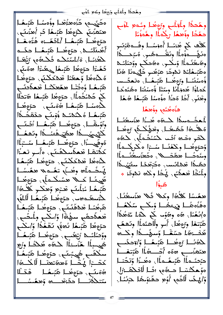## وهّددًا وأقلّب وواهدا وحُم اذْب

وَحَيْثَ الْمُوتَوَالِدَ وَأَوْمَنُنَا كَبَرْهُمَا هنمنِّتُم كَرُوهُا هُبُيعًا فَي أَهْنَتُ . حرّوهُــا هُبُـمُــا ٱلمَّصَّـزه فُتُوهَـا أَهْمِلْكُــدْ. حرّەهُـــا هُبُــهُــا حكّــه لْمَعْنَا. ةَالْمَمْكُمْ شُكْرُهُ لِتُعْلَم َـمُنَّةُ اتَنْفُرِ لَمُّذَهَ لَـهُوَدًا تَنْمُكُمْ . هُ ذُوهُا وَحِعْمُا شَدْكُمْنَ . حَرَّوهُـا هُبُمُا وُوضُلَا مِمُعنَدَا مُعَامَسَ لَكُمْ حَٰهَدُهُماً. حَرَّوهُا هَبَسُمَا هَتَدَلَّا لأومُا هُبُعُا هُوْمًى. حرّوهُا هَبُسُا هُكْدُكُمْ زُوْسًا حَنْقَضُدًا وَأَوْحَقْهَا. دَوْهِ هُمْ الْهُمْهَا أَصُّلُب لمسهمته المسنده يتحمه المسرسرش ەُوفَى ألى حرّەهُــا هُبُـمُــا مُـــْتِمْا كَكّْتَهْا هُعَكّْمَىكْمَنَّى. ە/ّسو تعـزُا لأوهُا هُمْكُكْتُبٍ. حرُوهُا هُبُسُا لَىكْــەلْ10 وِھُــَىْ، تْمُــە لا ھمَّىسُــا هَيْ الْمَحْمَلَ الْمَسْتَدْمِلْهِ. حَرَّهِ هُــا هُبُعُا نُنلُبُ شَبْع وَٰهَد لِهَ اللَّهُ ا لْتُسْعَدُهُ مِنْ حَرَّوْهُمْ الْمُرْسَمَّا لِّالِمُوْنَ هُرِهُنُـا هَـْهُنَّسَـٰى. حرِّهِهُـا هُرُمهُـا هْمِكُحِمَّى سِجُةًا وَٰٰٖٓاسَكِ وِلَمحَّبِ. حرِّهِهُا هُبُسُمَا نُهوُّ نَقْسُمًا وَٱسْلَبِ ووَحنائهم وُتِعَب، حرّه هُــا هَبُــهُــا هْيِجِبْلَا هَنّْسِنِهْ! كَمَةٌه هَكْشًا وِرُهِ ملْهُم هُيْبَنَّع. حرّْهِ هُمْ هُيُمْمَ كخش لمُخْسا هَمدهُ تعنسا لَلك هُا هُەۡنَـٰ ٖ. حوۡہِ ھَٰٓا هُہۡمَـٰا ۖ قَـٰٓنَا ا مّتلكُ اللّه عَذْرَه مستَسْرِ اللّهُ عَمْدَ اللّهَ

وهُحِمًا وِلَمُوْلَى وَرُومُها وِيُوم لِمْنِي حَمْحُا وِؤَهِمُا رِجُهِ أَا وِجُوؤُمُا كَلُّف كُمْ هُزَسًا أُدْمِمُــا وِفَّــدةَبُصُو دَنُوُّــدُوۡمَاۤا وِنُقُّــدهَمَـرٖ. ةَبۡدَــدُا وهَعْنُدَاْ وَمِكْسٍ. هِهَدَكُم ووَصَلَهُمْ ەھَبُسْھَلْنَدْ تَدْوِجُهْ عَبْھُسِ خَايُحِمُنَا ، هُنَا ؤْەمْنْنْسَا وِرُوھُــا ھُرُمْسَا. ەتىھگــىب لُكملؤُا هُدولُمُلْ ومِنْتْلَ وُّدمُمُنُنَا دَهُنُدَلَدَ وقَتِيْبٍ. أَجُلْ هَجْزًا دَوْْهِيْبَا هَٰٓبُيْعَا هُجُلْ فَأَوهُنُو وؤُهِمُ \_\_ أهدَّـــوسمًا للـــوَّة هُـــزًا هزَّمـهُنَــا هَ لِلْكُوا حُمَّمُهَا. وِتَعَهُّكُمُّ وَوَهُمَا لْحْصَرِ هَـْـهِ أَضُّـ لَمُمُئُمْـهِ]ْ. لَحْـهُه وَحَوَهُما وِكَعُنُا سُبْوا مِكْرِكُما وِمُوَدُّلِ هِدَّدْ ﴾. ودَهزَمِعْتُدِهُا حِمَّدُا مْمَائَىب مَحَبَّعْدَا ستَّيُّدُا وِلَمُنْتَا هُمُمَّكٍ. لَمِكُمْ وِكْلُهِ نَمْوِكُ; \* **ئ ذا** همُسُلم للأَهُا وِكُلا ثَلا هُنْمَعُنُلَ. ەفْزُەھُــا ۞ىغىل وُبكْــم مَكْمُــا ەإِنْمُنَا. 6ە وەَوَّ كَمْ كَهَا تَّەھُكَمَّا هَّتِنْهَا وَرُوهُا. أُمر وِلْاهِنُومُا وِنَعْمَى هُدْ:هَا حِمَّةٌ | وُسِهَْكُمَّا وِكْدِهِ لِهُنَـٰا وَهُـٰـا هُبُـِمُـا وَٰاتِحِمَـٰبِ همّعنُوب مؤه أقدهُما هُبّتمْدا دَ ْحَشَّـه الْمُ الْمُ مَثَّـه الْمَالِ. وهُــزًا وِّتـحَـْــا |وَمِمْكَنْسْا حِيوُهِ رَضًا لُاتَّكَضَّرْزَلَ. أَوَّٰٓ } لَكُما أَوُّم حَفَّرَهُ مَعْهُم الْمَرْسُلُ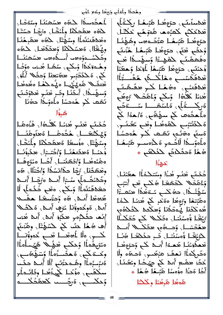وهّددًا وأَوّلَى وَرُوهُا وهُو الْمُو

لْمِحْمِيجًا ۖ ۞ مِمْعِنْتًا وِمَّةِصْلَ. لحوّه محَمَحكْنَا ولَمُخْبَلِ. ورُجْبا حمّثاً ەھْكَعُبُنُه أَا ومُكَوْتَا . كَهُه هِجْرِهُنَـا وبِّقْدَالَ هُمِنَىكُمْا وُمِكَمْعْداً. كِنَّهُ وكَحْشَــْءَوُهِ مَــْ أَــــكُهِ مِّهْ مَـنُعْمَنُــٰ ا وِهُـٰءوَىٰدُا وُِٓـكَـٰى. مَنْھُـا هُـٰٓہَٰٮ ہوۡخُـا ݣَـدٍ. هَكَكْتَبُــر ههَّتْهِمْا وَحَثَكَ ٱلْمُوْ. شَعْبُ هُولُونُ لِمَرْبُوٰهُ مُقْتَحِمًا وَهُومُنَا وَمِعهُماً. أَمكُنا وكَرٍ هَنُرٍ هَذَكَمَنَ تَّتَّف لَكُمْ هُوصِبًا وَلَمْوَجَدًّا حَمَّنًا

ئ<br>في ذا

كُنْتُم هْنُـرٍ هُٰٓئِىل ۚ كَلَّـٰهُۚا ۚ فُـُوۡهَٰـٰل وَّلِمَحْتَمْسَا لِ ۖ هُجُوهُسَا وَهزُوهُنُسَا وِسۡیُٰتًا. ووُسطُا ہٗھکَحکُنُا وِلۡنُتۡلَا. ؤُحِيًـا هُحجَعَهُـُـا وُاجَّتـْءِا. حجَجُوتُـا ەھُنُەھُــا وُٱكْتَعْسُــا. أُحُــا ەـُرُوھُــا وِهْتَفَدَّلَ ۚ رُجَا حَذَاتَـنُدُا وَاجَتْلَا ۚ هَء وِكُمْنُشُمِلُ مُبْرَا أَسِمْ وَرُضَا أَسِمْ حقَّدْهُمُدًا وُمَّكُم. هقْم حُكْمَلًا لَّٰا هُدهقدا أُسك ، هُه وُحتُسعْدا هقُسم أَبِي. هُوِيُدُووُنَا يُوْفٍ أَبِيلٍ. هَ لِكُنَّلا إِنَّفْ حَقَّكُوْمٍ مِنْكُرُوْ أَبْكَاءِ أَبْكَ هُذِب أَهِ هُمُا مِيَّ لَمْ لِمَنْهُنْا. وِهُنْبُهِ لْحَسِرٍ. وَلَا لَمُعَقَّسًا قَسَمٍ كُدْوِقُشِيًا الْمَالَى مِنْكُمْ شَوْبِكَا ۖ هَيُصَادُاْ! وكتفكم . هَعفُتُوماً الرَّسْوُهُ بِ هُنَبْءِ أَا وِهُــهِ دُتُنَّ أَلَّا أَسك حكَّـــ مىڭگىپ. ەۆكىل كېياشىل وڭائىملُو ۇدڭلىسى. ةرجّىسى كىغۇدگىسە

حوّوهُــاً هُبُــهُــا هنُّكَــه ومن وهُـهُـُـا وُحثَى هَنَّى. حرَّوهُا هُبُسُا هُنَّتَّى وفُهمَّتٌ لِلْقَمِيَّا وِّسَهَّسَلًا هُبِ وْحِنْتَى حَوْهُا هَبُهُا لَمُقِيَّا لَهُمَا وَحَقَّا هْدْفَدْسُبِ مْعَاتُكُمْ هُفُسْتُدًا قَدْفَسُي. ۚ هُ هُـُـل كُــٰوٖ هَـفَـمَّسَـٰ هُزئا لْمَلْهَا ۖ وَبِكُمْ وَلِمَصْلًا وَهِ مَنْ مِكْتُمُ الْمُمْشَاءِ مِنْ الْمُسْتَوَجِّعَ مَاْهِدُهِ ۚ لَا سَؤُشَىٰ ﴾ [الحفاظ ة للأَنْتَزِبِ للصَّاصُلِ وقبِ مُعَسُبِ. ەمئە ەۋئىم ئېھى كىر ھەدىئا مأەوَّــدًا لَّاكْـــەر ەّىدەمىــر ھَبُـمُــا ھُمُّا ەَحثُلاَكُم لِلنُلْعُيمِ \* تحجئزا حُكْنَبٍ قَئْسٍ هُـٰٓءًا وِمّتكِـهَٰٓاًا حِكَّنْنَا۔ وَلِمَصْلا لِلْفَعْدَا هُكُبٍ مْعٍ أَتَبْعٍ مَّهُتُمُّا. دهُ كَبِ صِّةَهُمُّا ۚ مِنْعَالَ ەھَبْتقا وۆھكا ەەتدىكى ھُنئا لےمَا هُمتَكْثَلَا هُءتَكُلًا وَمِكْعَظٍ لِكُلْوُهِ، رُبُغْل وُٗەمْئِتُمل هَكُلا كُل كُتْكُمْلُلْ همّقشـا. وُحــوهُ موكَّـــلا أســــــم ِكْرُبُغْْطِ وُْمِيْسُطِ. كَـرِ حِكْكِعُطِ هُنُط تَعمَلُوْنُنَا مُحْمَدًا أَسِيمَ كُلِّ وَحَرِّهِ مُنَا ەكرېگەلما تىمگە ھۇھىس. ەھىھە ولا حُدٌّ: همُّم أَلم لَمْ حَيْحُا وِعْعُسُا. أَجْلَ هَجُرًا وَوُّومُنَا هَرَمَهُا رَهُ هُلْ \* هَمعُدا هَبِعُنا وِكْكا

هْدْسِلَبْ، حرّْهِهُـا هَيْـهُـا رَبّْكَـةُكُمْ

مْهَكْتُمْ كْعَرُهِ هُوَهُمْ تَخْتَلَ.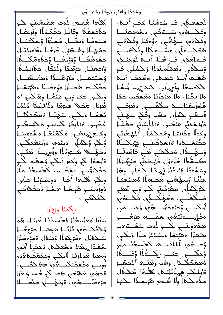وهّدهُا وأَوّلُها ورُوهُا وهُو الْمُو

كَلَّاهُ الْهُنِّتُ فَاءَ مَقَّيِّفَتِّ لَكُمْ حكَاتَـمفُكُل وِدًاتْـل ححُـدّـهُـلُّل وأَوْتـهْـل ِ حشُەحُـا وُبِحُبْـا. خَمْزُوْا وَجِعُبْنِيل. حفَهِـلُا وهُــقوْل خَرِهُـا وِهَـٰقُوِـُنْـا. حمْدَهُكُلّْ وُوَرُمْكُلّْ وَحَذْدَهُا كَا وَّ/حقسًا. ح<sub>َ</sub>مِّدْا وِلَمُثْل حَمَّ*اتِسُ*دًا وُهِمْتِهْكِ. حَآوْهُكُمَّا وُهِتَمْعِعْنْكِا. حثُكْــره هُجــزًا هؤهجُــزًا وهُبْتِـهْــا وَۡـٰكُـٰرِ. حَـُـٰٓ وَبِ هِنُهُـا وِهُكُبِ أَه هُزءُا ۖ. هُـٓكَـلا قُـترْهَا هِٱاتسُدًا هُاهُا ئعمُا وُحِّى. مَيْشَا هَعفَتَكْتَا كْتْبُر. ةْالمْوِكْرْ ݣْسْلْسْ هْݣْسْعْب وكمع تصفره المشتك وللمسته ومكاسح بمستر وَّىلُو وَكُمَلِّى. مِنْمَى مَؤْسَفَىكَلْمِ. وَدَّهْكُ لَهُــتِوِوُمُمُّا وِؤُي أَلَّا هُنَّــعٍ. ة/ههٔا كم وكم أَسْلم وُهفَن كْبِر حثُكُ;وَّبٍ. بمُكَّبِينَ كَعَزَىبِعُثُـما وَّىكُر كَلَّـٰهَا أَكْـا. ەوَّىسَّبْنَا جِبُر. ەُووْەمىلىر ھۇيىمىلى ھىمىلى ەچقىلاھى لمنكفَّى \* ربكهأا وزجزا مَىْلُمُ هَجْمَعِيْلًا هُجْمِيعُيْلِ هُذِيلٍ. ﴿ هَ وَحِدْحُــوهُ مِ دَّاتْــا هُبِعُتــا حرِّهِعُــا مَّىكِكُمُّلْ. وَحَٰٓةٍ كِّدُمُّا وِّتَـٰٰكُلْ. وَحَرُّوحُـُّةُا رِمَاْ أَبِكَهُ مِ مُكْتِفَةٍ مَا يَثْقِرُ ابْنُهْمَ وَۚدمَا مَّداوُنُـا لَّاـتكــب وِّحـدْعَـحُـدْهُونَ ؤُوْسِبِ وَحُمثَنَكْسَــرَةُو لِإِنْقَاظَتَــبِ. ەَدەُەر شكۇشى ھَد كَى ھُنِ وَبِعَيْزَا دَوْدَتُو مُعْرِ وَقَوْمَ إِنَّ مَا حَكْمَدْ الْمَا

لمُحمُّفَ&. كَرِ مُعْصُدًا حُصْرِ أَسْمَ. وثُكَّوُهِ مُتَّدَّكُمْ. وهُوجُوَيَّا وِثَلاَةُ مِنْ سَنُوَّةُ مِ. وَوُودُمُ وَقُلْاهُ مِ هُقَدْهُلُهِ. مَمْْدُهُ كُلًّا وِفَكِنْهَـب فُـءلمَّعَٰیٌ. ضَـٰٓ مُــلَّا أَسـدَ لَمُوَحَـٰکُی وۡمِــٰٰٓكُمۡنِ. ہ۞علَمانُـُمَاۤا وَجَـٰٰٓعَٰلَٰہِ. کَـٰٓم هُڡٛٓٮڡ أَٮ٨ سْعِـدُنٍ. ههُنحَـٰۂ أَنــٰه لْمُقْمَعَ فَيَهْدِي أَمِنَ مِنْ أَمْسَاءَ مِنْ الْمُحْمَدِينَ وَأَحَدُّمَا ەلُا ىـثَـُا. ەلُا م<sub>َ</sub>بْحَنُّا ەھْھنَـب خُـدَا فَاوْوُّىعُنْائُـــدْ مىڭفَـــى. ەھُرْتَـــى وَّسطَىرِ حَدَيْكٍ. حدَّف وثَكَلِ سَيَّسَبُ هُ/وَهِّدَبُّ هَٰٓءُمُسٍ. ةَالمُلَّمَٰنِّ حَقَّشَاً وكْدْلًا دْخَانْتْـا وْهُـتْـْدْءُلْمَا. ٱلْمُهْدَّبِّ حَقْتُمُـــدَه أَمَّــدَمَّــــــم صَلَّـــــاللَّهَ وَسِهَّــدًا. هَحَكْتَــح شَــح كَاهُدَنْــا ەھَسقْەلْا ھُتُومْرا. ەْلْمَحْكَمْ حَرُّهَـٰٓ;ٱ وسَعْدِكْمْ كَاسْكَنْا لِكَمْلَامْ وَرَوْا حسُّا وِّسوُّةًب هُدـهاْ هَمْنَعْنَا ݣْتْݣْهُلّْلْ. ھقْنْشّْيْلْ كْبْرْ وْبْ كْعْبْ ەسكەُب ، ەھۇكىگە . ئىكسەە أىكىب ۆدۇەدتُەـــەۋە ۆكئـــەر. وَحَلَّى حَسَّمَهُ مِثْقَدِ مِبْهَدٍ ھكَھۇمنّے كَـــر ماُهت مَنْصَـــةهت متحتَراً مكَّبَتقاً وَسَ*ّـبُنَا*ً حـزًا وَسَكـرٍ.<br>وَحـــوَّى الْمَلقَــــمَّــلاَّبِسطَنَّـــملُر |بُحكْب . حنَّـــ رَبِّـــ ةُلُمَّا وَخَسْـــدُا أَ هُههَنّْكُمُّا. وِهُم وِهْسُهُ ٱلْمَٰهَٰـ: ة/لَمْكُمْ فَيْ نُلْسُمْ. ݣْلْـْهْ قْطِـدْا. حِمْهِ حَكْمًا ولًا هُـومٍ هَبُعِجًا حُكِبًا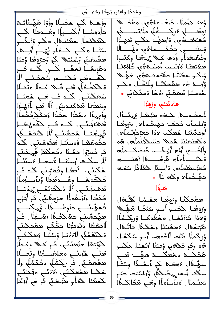وهّدهُا وأَوّلُها ورُوهُا وهُو الْمُو

وَوَّهِمْ كُلِّ هَشَبُّلَا وِوُّوْا هَهُمْلَائِهِ حاْدَوْمُسْــا أَكْسَـــرِهَٰا وِهُــــدَمَاا كَنــح لمَعْلَاثُه أَا حِعَّنُنَدًا. ٥ كُـر وَّا لِمَاسِرِ مَثْنًا ہ کُے حَــٰمُلُو سُے ۖ اُسِــٰہِ . ھقَىقَىلّ وُاسْتَلا كُمْ وُحرّەھُا وُصَا ەھبُمُالمەگ ئىب كى للقَّــوهُــم كَــُـشَــومِ مُـهـمَّـنَــمِ ٱلْل هُ حُكْثُمُهُ هُم شُعُلاً حَدهُ اللَّهَ مَثْمَلًا سُمكْنَى. ݣُــه كُــر هْـى هْمئـا وِمَعتُوْلا هُكْسَمَّى ۚ ٱلْل هَي لَمَّا لِي ُوَا ووْهِيدًا هِمْدُا هِدُّدًا وُحِنْدَكُمْ دُخُمَلًا هْدْنَاؤُسَّى . كُــه ضُــ فَقْه هُشَــا فَي تُسُلُّ هُدمَّسَ ٱلْلَّا حَنَقْهُــدَ حَدُّەققىدا ۋُەمىنُدا ھَكَوْھُىبُ . ݣـْـه دِّ كَسُبْوًّا حَمَّىلًا هَكْمَكْلَا فُهِكْسًا أَلَّا حكْــد إمبُّرْتَــا وَّحْمَدَ الْمَعْلَمُ هُكْبُبٌ. أَحصُا وِقُعَبْتُ كُـه ضَـ كُحْثُهُ هُـــا وِهُــــه مَحْلًا وَبِرَّــــزَّه أَا هَكْمِرْ سِمْنْكُمْ هُ الْأَرْبَعْنَ مَكْمَنَا مِنْ الْمَسْلَمَةِ مِنْ الْمَاسَمَةِ مِنْ كَخْدُّرَا وِآوُعِثَمَاْ مِرْجِدٌمِّي . كَرِ أُنْزَى هِجُحِهُنَّے حقَّ ذَكْرًا اهُــَّذَٰاْ. كَـرِ لَّادهَسُا هنُدءُ دخُكُم معَدكَنبَ ەَ كَنْقَمُكُمْ لَاَةْقَالَ وَيَنْشَأْ وَهَكُنْشُمْ ِكْلُوُّتْقَا مِلَامَنَّبِ. كُـْ كَـٰلاً وِكَـٰهِ الْ هْنَّــع هُنْتُــع هْدَاهُــــتّْهُ! وِنْـصـُـُا! هفَهمَّىّ ذَ رِكْتُهُ مُحْدَّمُّ ولَّا هَكْمَا هِمُعِكْتُبٍ. هُوَنَبٍ وَوُحَنُنَبٍ كْمكْنَا لِكَمْلُو هزَّىغَىنَ كَرِ هَو أَوْحُا

وَهمْكُوْهِ أَلِ دُبِعُكُمْ وَهُوبِ وَهُصْلًا مِكْمُسْسَلَمَانَ مِكْمَةٍ مَالَةٍ مِكْسِنَةٍ مِكْسَمَةٍ مَ كَعْنَعْتَــرْهُم، وَأَهْلُهَــز حَكْبٍ هُـهِــزًا وِّسْلُنْــــــــــو. حَــُـــْـــــه اهْمى وَكِّــــــاللَّا وَحُصَّعُهِ لَمِّي وَ مَعْدَلاً يَ تَحْمَلُوا وَكُنَّتْهِ ا هدەّتعندا ەلگىس ۋەملىدۇە كاۇةنىل وَمِكْمٍ هِكَنْتُمْا حَكْتَمْعُكُمْ وَهُ مِنْ الْمَجْمِعَةِ وَّاسِياً هُو محمَّحكْسًا وِلْمُتْسَا. وكُسِر هُوصُا هُههُنّ هُمُا هُحثُلاَكُ \* فأوقُدُو وَإِجْرَا ألْمَدْرِهْ لَــهُ: ه ه هُــمُــه الْمَموـــةُـمِلْ وْٱلْمَسْلُفَ خَصَصَّةِ حَجَّمَةٌ عَلَى مَرَّوِهُمْ |أَوْحِدُىنُـْا ۖ هُعْكُـْب 1هُ أَ حُعْرُجُرُفُـهُـ مِهْ مِ ەڭھىئىئا كەنىلا دىئىللەنگەن. «ئ ولَلْفُـــــــم أُوُم أَهْــُـــَــــ ضَضَكُـــــملَّاه ەَحْسَـــْزَاْهِ اَهْمِ هُمِ مُحْمَـــــهُ الْهَنْــــــــه كَعْزُمْمِعْنُوْلُمْ ، وَأَمْسُنُا ۚ حَكَمُلاَتْنَا مَدْوَمِهِ دَهُمْشُداْه وِكْلَه ءُلَّا ﴾ ۿڔۏؙٳ هكَحكْنَا وَرُوهُـا هِمُسُـا ݣْلْـْهَا. ووُه مُصل للأَصْبِرِ أُسبِ مَنْتُصَلِّ هَذَهُكُمْ وَهِهَا حَزَائِمًا. مِعْعُمِكُمْ وَرِيْكُمُاْ هَزَتمُهُا. هَحفَسُلُ وهَنْدُهُا دَاتُـدُا. وُرِيْدَمُاْ هُوَد لَّادُه مِن أُسو مَكْحُمَّا. هُه وِكْرٍ ثَلاَهْمٍ وِّصْنُا إِنْعَمْا حَكْسِر هُصْلَـــد ه هُعنٌـــد هؤَــــز مْــــم سَهُْدًا. هَ¤هَـدْ كُمْ وُسْعَـدًا وِسَتْـلَا سنَّد مَسْلَمَ بِمُسْلَمَةٍ مِنْ مِنْ مِنْ كَكِنُـه أَا. هَٰنَدُوْه أَا وِقْبِ هَكَاتَكُــأَا